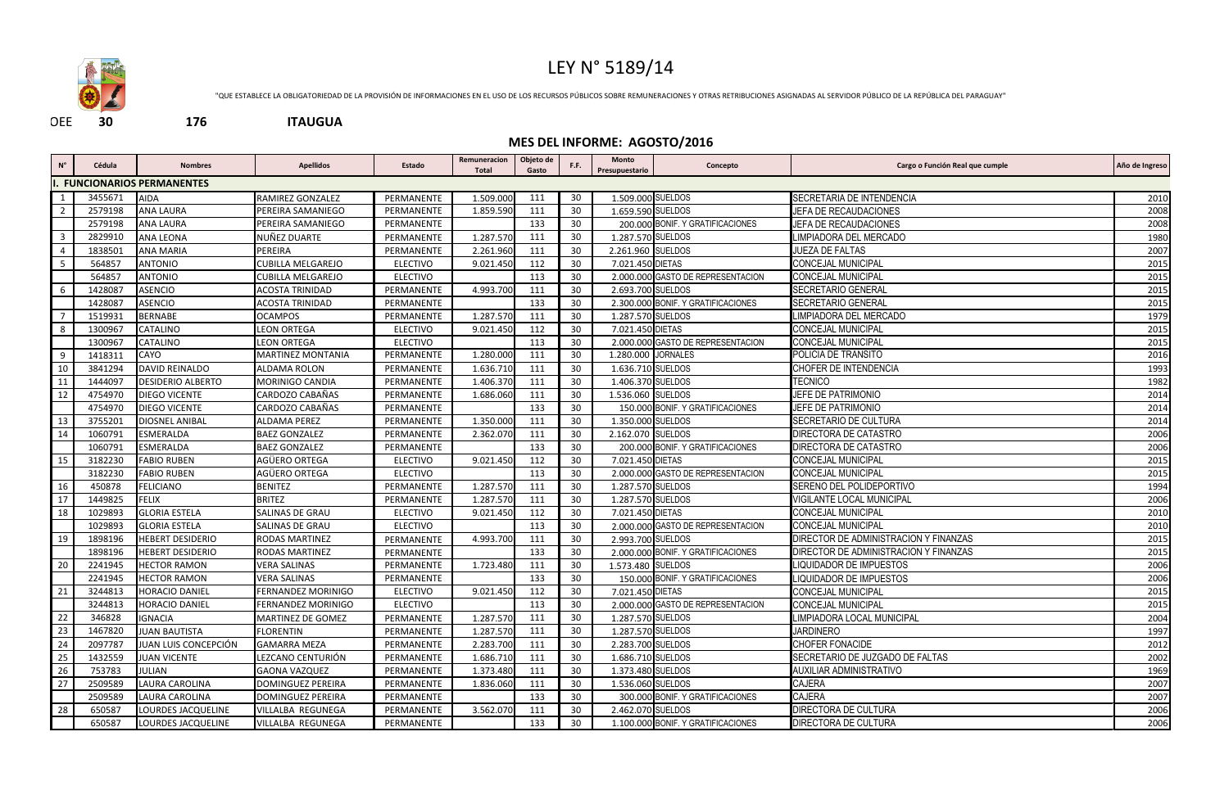

| $N^{\circ}$                                                   | Cédula  | <b>Nombres</b>                  | <b>Apellidos</b>          | Estado          | Remuneracion<br><b>Total</b> | Objeto de<br>Gasto | F.F. | Monto<br>Presupuestario | Concepto                           | Cargo o Función Real que cumple       | Año de Ingreso |
|---------------------------------------------------------------|---------|---------------------------------|---------------------------|-----------------|------------------------------|--------------------|------|-------------------------|------------------------------------|---------------------------------------|----------------|
|                                                               |         | <b>FUNCIONARIOS PERMANENTES</b> |                           |                 |                              |                    |      |                         |                                    |                                       |                |
|                                                               | 3455671 | <b>AIDA</b>                     | RAMIREZ GONZALEZ          | PERMANENTE      | 1.509.000                    | 111                | 30   | 1.509.000 SUELDOS       |                                    | SECRETARIA DE INTENDENCIA             | 2010           |
| $\overline{2}$                                                | 2579198 | <b>ANA LAURA</b>                | PEREIRA SAMANIEGO         | PERMANENTE      | 1.859.590                    | 111                | 30   | 1.659.590 SUELDOS       |                                    | JEFA DE RECAUDACIONES                 | 2008           |
|                                                               | 2579198 | <b>ANA LAURA</b>                | PEREIRA SAMANIEGO         | PERMANENTE      |                              | 133                | 30   |                         | 200.000 BONIF. Y GRATIFICACIONES   | JEFA DE RECAUDACIONES                 | 2008           |
| $\overline{\phantom{a}3}$                                     | 2829910 | <b>ANA LEONA</b>                | NUÑEZ DUARTE              | PERMANENTE      | 1.287.570                    | 111                | 30   | 1.287.570 SUELDOS       |                                    | LIMPIADORA DEL MERCADO                | 1980           |
| - 4                                                           | 1838501 | <b>ANA MARIA</b>                | PEREIRA                   | PERMANENTE      | 2.261.960                    | 111                | 30   | 2.261.960 SUELDOS       |                                    | JUEZA DE FALTAS                       | 2007           |
| 5                                                             | 564857  | <b>ANTONIO</b>                  | <b>CUBILLA MELGAREJO</b>  | <b>ELECTIVO</b> | 9.021.450                    | 112                | 30   | 7.021.450 DIETAS        |                                    | CONCEJAL MUNICIPAL                    | 2015           |
|                                                               | 564857  | <b>ANTONIO</b>                  | CUBILLA MELGAREJO         | <b>ELECTIVO</b> |                              | 113                | 30   |                         | 2.000.000 GASTO DE REPRESENTACION  | <b>CONCEJAL MUNICIPAL</b>             | 2015           |
| - 6                                                           | 1428087 | <b>ASENCIO</b>                  | ACOSTA TRINIDAD           | PERMANENTE      | 4.993.700                    | 111                | 30   | 2.693.700 SUELDOS       |                                    | <b>SECRETARIO GENERAL</b>             | 2015           |
|                                                               | 1428087 | <b>ASENCIO</b>                  | ACOSTA TRINIDAD           | PERMANENTE      |                              | 133                | 30   |                         | 2.300.000 BONIF. Y GRATIFICACIONES | <b>SECRETARIO GENERAL</b>             | 2015           |
| $\overline{7}$                                                | 1519931 | <b>BERNABE</b>                  | <b>OCAMPOS</b>            | PERMANENTE      | 1.287.570                    | 111                | 30   | 1.287.570 SUELDOS       |                                    | LIMPIADORA DEL MERCADO                | 1979           |
| - 8                                                           | 1300967 | <b>CATALINO</b>                 | LEON ORTEGA               | <b>ELECTIVO</b> | 9.021.450                    | 112                | 30   | 7.021.450 DIETAS        |                                    | <b>CONCEJAL MUNICIPAL</b>             | 2015           |
|                                                               | 1300967 | <b>CATALINO</b>                 | <b>LEON ORTEGA</b>        | <b>ELECTIVO</b> |                              | 113                | 30   |                         | 2.000.000 GASTO DE REPRESENTACION  | <b>CONCEJAL MUNICIPAL</b>             | 2015           |
| - 9                                                           | 1418311 | CAYO                            | <b>MARTINEZ MONTANIA</b>  | PERMANENTE      | 1.280.000                    | 111                | 30   | 1.280.000 JORNALES      |                                    | POLICIA DE TRANSITO                   | 2016           |
| -10                                                           | 3841294 | <b>DAVID REINALDO</b>           | ALDAMA ROLON              | PERMANENTE      | 1.636.710                    | 111                | 30   | 1.636.710 SUELDOS       |                                    | CHOFER DE INTENDENCIA                 | 1993           |
| 11                                                            | 1444097 | <b>DESIDERIO ALBERTO</b>        | MORINIGO CANDIA           | PERMANENTE      | 1.406.370                    | 111                | 30   | 1.406.370 SUELDOS       |                                    | <b>TECNICO</b>                        | 1982           |
| 12                                                            | 4754970 | <b>DIEGO VICENTE</b>            | CARDOZO CABAÑAS           | PERMANENTE      | 1.686.060                    | 111                | 30   | 1.536.060 SUELDOS       |                                    | JEFE DE PATRIMONIO                    | 2014           |
|                                                               | 4754970 | <b>DIEGO VICENTE</b>            | CARDOZO CABAÑAS           | PERMANENTE      |                              | 133                | 30   |                         | 150.000 BONIF. Y GRATIFICACIONES   | JEFE DE PATRIMONIO                    | 2014           |
| 13                                                            | 3755201 | <b>DIOSNEL ANIBAL</b>           | <b>ALDAMA PEREZ</b>       | PERMANENTE      | 1.350.000                    | 111                | 30   | 1.350.000 SUELDOS       |                                    | SECRETARIO DE CULTURA                 | 2014           |
| 14                                                            | 1060791 | <b>ESMERALDA</b>                | <b>BAEZ GONZALEZ</b>      | PERMANENTE      | 2.362.070                    | 111                | 30   | 2.162.070 SUELDOS       |                                    | DIRECTORA DE CATASTRO                 | 2006           |
|                                                               | 1060791 | <b>ESMERALDA</b>                | <b>BAEZ GONZALEZ</b>      | PERMANENTE      |                              | 133                | 30   |                         | 200.000 BONIF. Y GRATIFICACIONES   | DIRECTORA DE CATASTRO                 | 2006           |
| $\overline{15}$                                               | 3182230 | <b>FABIO RUBEN</b>              | AGÜERO ORTEGA             | <b>ELECTIVO</b> | 9.021.450                    | 112                | 30   | 7.021.450 DIETAS        |                                    | CONCEJAL MUNICIPAL                    | 2015           |
|                                                               | 3182230 | <b>FABIO RUBEN</b>              | AGÜERO ORTEGA             | <b>ELECTIVO</b> |                              | 113                | 30   |                         | 2.000.000 GASTO DE REPRESENTACION  | <b>CONCEJAL MUNICIPAL</b>             | 2015           |
| -16                                                           | 450878  | <b>FELICIANO</b>                | <b>BENITEZ</b>            | PERMANENTE      | 1.287.570                    | 111                | 30   | 1.287.570 SUELDOS       |                                    | SERENO DEL POLIDEPORTIVO              | 1994           |
| 17                                                            | 1449825 | <b>FELIX</b>                    | <b>BRITEZ</b>             | PERMANENTE      | 1.287.570                    | 111                | 30   | 1.287.570 SUELDOS       |                                    | VIGILANTE LOCAL MUNICIPAL             | 2006           |
| -18                                                           | 1029893 | <b>GLORIA ESTELA</b>            | <b>SALINAS DE GRAU</b>    | <b>ELECTIVO</b> | 9.021.450                    | 112                | 30   | 7.021.450 DIETAS        |                                    | <b>CONCEJAL MUNICIPAL</b>             | 2010           |
|                                                               | 1029893 | <b>GLORIA ESTELA</b>            | SALINAS DE GRAU           | <b>ELECTIVO</b> |                              | 113                | 30   |                         | 2.000.000 GASTO DE REPRESENTACION  | <b>CONCEJAL MUNICIPAL</b>             | 2010           |
| 19                                                            | 1898196 | <b>HEBERT DESIDERIO</b>         | RODAS MARTINEZ            | PERMANENTE      | 4.993.700                    | 111                | 30   | 2.993.700 SUELDOS       |                                    | DIRECTOR DE ADMINISTRACION Y FINANZAS | 2015           |
|                                                               | 1898196 | <b>HEBERT DESIDERIO</b>         | RODAS MARTINEZ            | PERMANENTE      |                              | 133                | 30   |                         | 2.000.000 BONIF. Y GRATIFICACIONES | DIRECTOR DE ADMINISTRACION Y FINANZAS | 2015           |
| 20                                                            | 2241945 | <b>HECTOR RAMON</b>             | <b>VERA SALINAS</b>       | PERMANENTE      | 1.723.480                    | 111                | 30   | 1.573.480 SUELDOS       |                                    | LIQUIDADOR DE IMPUESTOS               | 2006           |
|                                                               | 2241945 | <b>HECTOR RAMON</b>             | <b>VERA SALINAS</b>       | PERMANENTE      |                              | 133                | 30   |                         | 150.000 BONIF. Y GRATIFICACIONES   | LIQUIDADOR DE IMPUESTOS               | 2006           |
| $\overline{21}$                                               | 3244813 | <b>HORACIO DANIEL</b>           | <b>FERNANDEZ MORINIGO</b> | <b>ELECTIVO</b> | 9.021.450                    | 112                | 30   | 7.021.450 DIETAS        |                                    | <b>CONCEJAL MUNICIPAL</b>             | 2015           |
| ┍                                                             | 3244813 | <b>HORACIO DANIEL</b>           | FERNANDEZ MORINIGO        | <b>ELECTIVO</b> |                              | 113                | 30   |                         | 2.000.000 GASTO DE REPRESENTACION  | CONCEJAL MUNICIPAL                    | 2015           |
| $\begin{array}{r} 22 \\ 23 \\ 24 \end{array}$                 | 346828  | <b>IGNACIA</b>                  | MARTINEZ DE GOMEZ         | PERMANENTE      | 1.287.570                    | 111                | 30   | 1.287.570 SUELDOS       |                                    | LIMPIADORA LOCAL MUNICIPAL            | 2004           |
|                                                               | 1467820 | <b>JUAN BAUTISTA</b>            | <b>FLORENTIN</b>          | PERMANENTE      | 1.287.570                    | 111                | 30   | 1.287.570 SUELDOS       |                                    | <b>JARDINERO</b>                      | 1997           |
|                                                               | 2097787 | JUAN LUIS CONCEPCIÓN            | <b>GAMARRA MEZA</b>       | PERMANENTE      | 2.283.700                    | 111                | 30   | 2.283.700 SUELDOS       |                                    | <b>CHOFER FONACIDE</b>                | 2012           |
| $\frac{1}{25}$                                                | 1432559 | <b>JUAN VICENTE</b>             | LEZCANO CENTURIÓN         | PERMANENTE      | 1.686.710                    | 111                | 30   | 1.686.710 SUELDOS       |                                    | SECRETARIO DE JUZGADO DE FALTAS       | 2002           |
| $\begin{array}{ c c }\n\hline\n26 \\ \hline\n27\n\end{array}$ | 753783  | <b>JULIAN</b>                   | <b>GAONA VAZQUEZ</b>      | PERMANENTE      | 1.373.480                    | 111                | 30   | 1.373.480 SUELDOS       |                                    | <b>AUXILIAR ADMINISTRATIVO</b>        | 1969           |
|                                                               | 2509589 | LAURA CAROLINA                  | <b>DOMINGUEZ PEREIRA</b>  | PERMANENTE      | 1.836.060                    | 111                | 30   | 1.536.060 SUELDOS       |                                    | CAJERA                                | 2007           |
|                                                               | 2509589 | LAURA CAROLINA                  | <b>DOMINGUEZ PEREIRA</b>  | PERMANENTE      |                              | 133                | 30   |                         | 300.000 BONIF. Y GRATIFICACIONES   | CAJERA                                | 2007           |
| 28                                                            | 650587  | <b>LOURDES JACQUELINE</b>       | VILLALBA REGUNEGA         | PERMANENTE      | 3.562.070                    | 111                | 30   | 2.462.070 SUELDOS       |                                    | DIRECTORA DE CULTURA                  | 2006           |
|                                                               | 650587  | LOURDES JACQUELINE              | VILLALBA REGUNEGA         | PERMANENTE      |                              | 133                | 30   |                         | 1.100.000 BONIF. Y GRATIFICACIONES | DIRECTORA DE CULTURA                  | 2006           |

## LEY N° 5189/14

"QUE ESTABLECE LA OBLIGATORIEDAD DE LA PROVISIÓN DE INFORMACIONES EN EL USO DE LOS RECURSOS PÚBLICOS SOBRE REMUNERACIONES Y OTRAS RETRIBUCIONES ASIGNADAS AL SERVIDOR PÚBLICO DE LA REPÚBLICA DEL PARAGUAY"

## **MES DEL INFORME: AGOSTO/2016**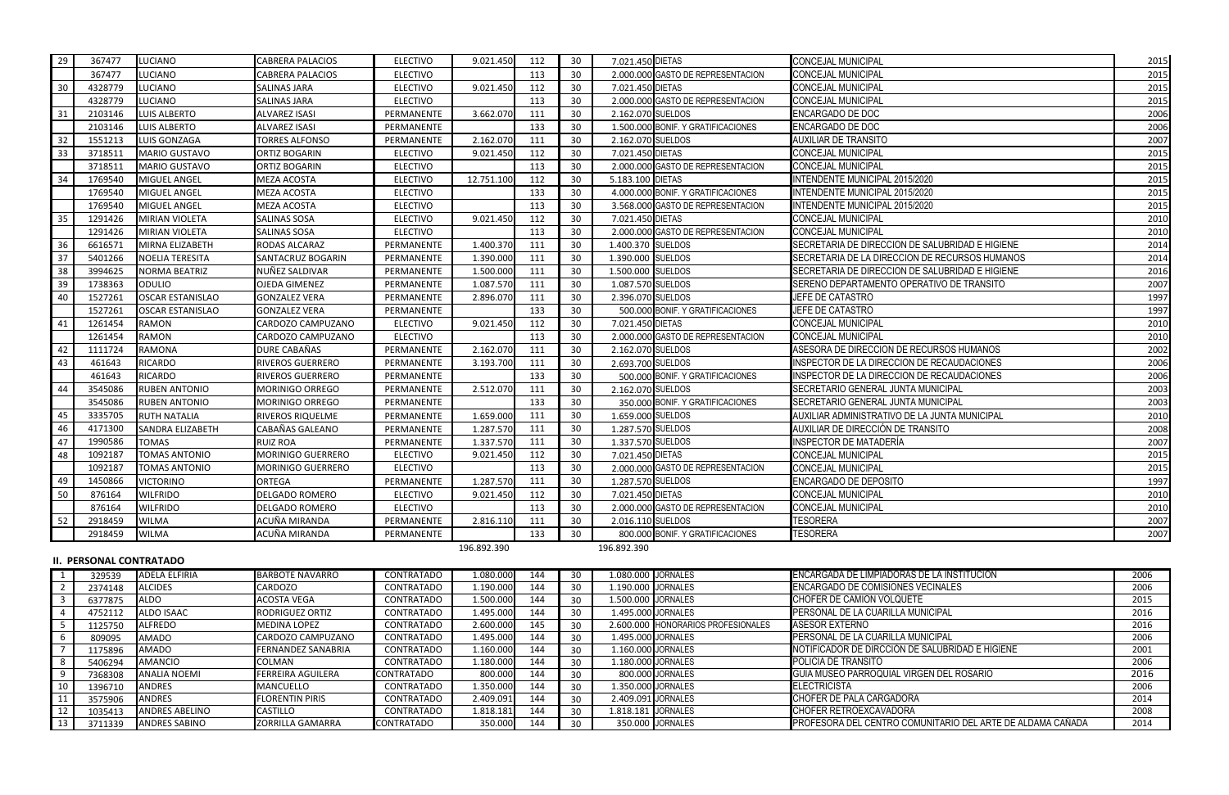| 29                      | 367477                         | <b>LUCIANO</b>                 | <b>CABRERA PALACIOS</b>             | <b>ELECTIVO</b>          | 9.021.450              | 112        | 30       | 7.021.450 DIETAS   |                                        | <b>CONCEJAL MUNICIPAL</b>                                       | 2015         |
|-------------------------|--------------------------------|--------------------------------|-------------------------------------|--------------------------|------------------------|------------|----------|--------------------|----------------------------------------|-----------------------------------------------------------------|--------------|
|                         | 367477                         | <b>LUCIANO</b>                 | <b>CABRERA PALACIOS</b>             | <b>ELECTIVO</b>          |                        | 113        | 30       |                    | 2.000.000 GASTO DE REPRESENTACION      | CONCEJAL MUNICIPAL                                              | 2015         |
| 30                      | 4328779                        | <b>LUCIANO</b>                 | <b>SALINAS JARA</b>                 | <b>ELECTIVO</b>          | 9.021.450              | 112        | 30       | 7.021.450 DIETAS   |                                        | <b>CONCEJAL MUNICIPAL</b>                                       | 2015         |
|                         | 4328779                        | <b>LUCIANO</b>                 | <b>SALINAS JARA</b>                 | <b>ELECTIVO</b>          |                        | 113        | 30       |                    | 2.000.000 GASTO DE REPRESENTACION      | CONCEJAL MUNICIPAL                                              | 2015         |
| 31                      | 2103146                        | LUIS ALBERTO                   | ALVAREZ ISASI                       | PERMANENTE               | 3.662.070              | 111        | 30       | 2.162.070 SUELDOS  |                                        | ENCARGADO DE DOC                                                | 2006         |
|                         | 2103146                        | LUIS ALBERTO                   | <b>ALVAREZ ISASI</b>                | PERMANENTE               |                        | 133        | 30       |                    | 1.500.000 BONIF. Y GRATIFICACIONES     | ENCARGADO DE DOC                                                | 2006         |
| 32                      | 1551213                        | <b>LUIS GONZAGA</b>            | <b>TORRES ALFONSO</b>               | PERMANENTE               | 2.162.070              | 111        | 30       | 2.162.070 SUELDOS  |                                        | <b>AUXILIAR DE TRANSITO</b>                                     | 2007         |
| 33                      | 3718511                        | <b>MARIO GUSTAVO</b>           | ORTIZ BOGARIN                       | <b>ELECTIVO</b>          | 9.021.450              | 112        | 30       | 7.021.450 DIETAS   |                                        | <b>CONCEJAL MUNICIPAL</b>                                       | 2015         |
|                         | 3718511                        | <b>MARIO GUSTAVO</b>           | ORTIZ BOGARIN                       | <b>ELECTIVO</b>          |                        | 113        | 30       |                    | 2.000.000 GASTO DE REPRESENTACION      | <b>CONCEJAL MUNICIPAL</b>                                       | 2015         |
| 34                      | 1769540                        | <b>MIGUEL ANGEL</b>            | <b>MEZA ACOSTA</b>                  | <b>ELECTIVO</b>          | 12.751.100             | 112        | 30       | 5.183.100 DIETAS   |                                        | INTENDENTE MUNICIPAL 2015/2020                                  | 2015         |
|                         | 1769540                        | <b>MIGUEL ANGEL</b>            | MEZA ACOSTA                         | <b>ELECTIVO</b>          |                        | 133        | 30       |                    | 4.000.000 BONIF. Y GRATIFICACIONES     | <b>INTENDENTE MUNICIPAL 2015/2020</b>                           | 2015         |
|                         | 1769540                        | <b>MIGUEL ANGEL</b>            | MEZA ACOSTA                         | <b>ELECTIVO</b>          |                        | 113        | 30       |                    | 3.568.000 GASTO DE REPRESENTACION      | NTENDENTE MUNICIPAL 2015/2020                                   | 2015         |
| 35                      | 1291426                        | <b>MIRIAN VIOLETA</b>          | <b>SALINAS SOSA</b>                 | <b>ELECTIVO</b>          | 9.021.450              | 112        | 30       | 7.021.450 DIETAS   |                                        | <b>CONCEJAL MUNICIPAL</b>                                       | 2010         |
|                         | 1291426                        | <b>MIRIAN VIOLETA</b>          | <b>SALINAS SOSA</b>                 | <b>ELECTIVO</b>          |                        | 113        | 30       |                    | 2.000.000 GASTO DE REPRESENTACION      | <b>CONCEJAL MUNICIPAL</b>                                       | 2010         |
| 36                      | 6616571                        | MIRNA ELIZABETH                | RODAS ALCARAZ                       | PERMANENTE               | 1.400.370              | 111        | 30       | 1.400.370 SUELDOS  |                                        | SECRETARIA DE DIRECCION DE SALUBRIDAD E HIGIENE                 | 2014         |
| 37                      | 5401266                        | <b>NOELIA TERESITA</b>         | SANTACRUZ BOGARIN                   | PERMANENTE               | 1.390.000              | 111        | 30       | 1.390.000 SUELDOS  |                                        | SECRETARIA DE LA DIRECCION DE RECURSOS HUMANOS                  | 2014         |
| 38                      | 3994625                        | <b>NORMA BEATRIZ</b>           | NUÑEZ SALDIVAR                      | PERMANENTE               | 1.500.000              | 111        | 30       | 1.500.000 SUELDOS  |                                        | SECRETARIA DE DIRECCION DE SALUBRIDAD E HIGIENE                 | 2016         |
| 39                      | 1738363                        | <b>ODULIO</b>                  | <b>OJEDA GIMENEZ</b>                | PERMANENTE               | 1.087.570              | 111        | 30       | 1.087.570 SUELDOS  |                                        | SERENO DEPARTAMENTO OPERATIVO DE TRANSITO                       | 2007         |
| 40                      | 1527261                        | <b>OSCAR ESTANISLAO</b>        | <b>GONZALEZ VERA</b>                | PERMANENTE               | 2.896.070              | 111        | 30       | 2.396.070 SUELDOS  |                                        | JEFE DE CATASTRO                                                | 1997         |
|                         | 1527261                        | <b>OSCAR ESTANISLAO</b>        | <b>GONZALEZ VERA</b>                | PERMANENTE               |                        | 133        | 30       |                    | 500.000 BONIF. Y GRATIFICACIONES       | JEFE DE CATASTRO                                                | 1997         |
| 41                      | 1261454                        | <b>RAMON</b>                   | CARDOZO CAMPUZANO                   | <b>ELECTIVO</b>          | 9.021.450              | 112        | 30       | 7.021.450 DIETAS   |                                        | <b>CONCEJAL MUNICIPAL</b>                                       | 2010         |
|                         | 1261454                        | <b>RAMON</b>                   | CARDOZO CAMPUZANO                   | <b>ELECTIVO</b>          |                        | 113        | 30       |                    | 2.000.000 GASTO DE REPRESENTACION      | CONCEJAL MUNICIPAL                                              | 2010         |
| -42                     | 1111724                        | <b>RAMONA</b>                  | DURE CABAÑAS                        | PERMANENTE               | 2.162.070              | 111        | 30       | 2.162.070 SUELDOS  |                                        | ASESORA DE DIRECCION DE RECURSOS HUMANOS                        | 2002         |
| 43                      | 461643                         | <b>RICARDO</b>                 | <b>RIVEROS GUERRERO</b>             | PERMANENTE               | 3.193.700              | 111        | 30       |                    | 2.693.700 SUELDOS                      | INSPECTOR DE LA DIRECCION DE RECAUDACIONES                      | 2006         |
|                         | 461643                         | <b>RICARDO</b>                 | RIVEROS GUERRERO                    | PERMANENTE               |                        | 133        | 30       |                    | 500.000 BONIF. Y GRATIFICACIONES       | INSPECTOR DE LA DIRECCION DE RECAUDACIONES                      | 2006         |
| 44                      | 3545086                        | <b>RUBEN ANTONIO</b>           | <b>MORINIGO ORREGO</b>              | PERMANENTE               | 2.512.070              | 111        | 30       | 2.162.070 SUELDOS  |                                        | SECRETARIO GENERAL JUNTA MUNICIPAL                              | 2003         |
|                         | 3545086                        | <b>RUBEN ANTONIO</b>           | <b>MORINIGO ORREGO</b>              | PERMANENTE               |                        | 133        | 30       |                    | 350.000 BONIF. Y GRATIFICACIONES       | SECRETARIO GENERAL JUNTA MUNICIPAL                              | 2003         |
| 45                      | 3335705                        | <b>RUTH NATALIA</b>            | RIVEROS RIQUELME                    | PERMANENTE               | 1.659.000              | 111        | 30       | 1.659.000 SUELDOS  |                                        | AUXILIAR ADMINISTRATIVO DE LA JUNTA MUNICIPAL                   | 2010         |
| 46                      | 4171300                        | <b>SANDRA ELIZABETH</b>        | CABAÑAS GALEANO                     | PERMANENTE               | 1.287.570              | 111        | 30       | 1.287.570 SUELDOS  |                                        | AUXILIAR DE DIRECCIÓN DE TRANSITO                               | 2008         |
| 47                      | 1990586                        | <b>TOMAS</b>                   | <b>RUIZ ROA</b>                     | PERMANENTE               | 1.337.570              | 111        | 30       | 1.337.570 SUELDOS  |                                        | INSPECTOR DE MATADERÍA                                          | 2007         |
|                         | 1092187                        | <b>TOMAS ANTONIO</b>           | MORINIGO GUERRERO                   | <b>ELECTIVO</b>          | 9.021.450              | 112        | 30       | 7.021.450 DIETAS   |                                        | CONCEJAL MUNICIPAL                                              | 2015         |
| 48                      | 1092187                        | <b>TOMAS ANTONIO</b>           |                                     | <b>ELECTIVO</b>          |                        |            |          |                    | 2.000.000 GASTO DE REPRESENTACION      | CONCEJAL MUNICIPAL                                              |              |
|                         |                                |                                | <b>MORINIGO GUERRERO</b>            |                          |                        | 113        | 30       |                    |                                        |                                                                 | 2015         |
| -49                     | 1450866                        | <b>VICTORINO</b>               | <b>ORTEGA</b>                       | PERMANENTE               | 1.287.570              | 111        | 30       | 1.287.570 SUELDOS  |                                        | ENCARGADO DE DEPOSITO                                           | 1997         |
| 50                      | 876164                         | <b>WILFRIDO</b>                | <b>DELGADO ROMERO</b>               | <b>ELECTIVO</b>          | 9.021.450              | 112        | 30       | 7.021.450 DIETAS   |                                        | <b>CONCEJAL MUNICIPAL</b>                                       | 2010         |
|                         | 876164                         | <b>WILFRIDO</b>                | <b>DELGADO ROMERO</b>               | <b>ELECTIVO</b>          |                        | 113        | 30       |                    | 2.000.000 GASTO DE REPRESENTACION      | <b>CONCEJAL MUNICIPAL</b>                                       | 2010         |
| 52                      | 2918459                        | <b>WILMA</b>                   | ACUÑA MIRANDA                       | PERMANENTE               | 2.816.110              | 111        | 30       | 2.016.110 SUELDOS  |                                        | <b>TESORERA</b>                                                 | 2007         |
|                         | 2918459                        | <b>WILMA</b>                   | ACUÑA MIRANDA                       | PERMANENTE               |                        | 133        | 30       |                    | 800.000 BONIF. Y GRATIFICACIONES       | <b>TESORERA</b>                                                 | 2007         |
|                         |                                |                                |                                     |                          | 196.892.390            |            |          | 196.892.390        |                                        |                                                                 |              |
|                         | <b>II. PERSONAL CONTRATADO</b> |                                |                                     |                          |                        |            |          |                    |                                        |                                                                 |              |
|                         | 329539                         | <b>ADELA ELFIRIA</b>           | <b>BARBOTE NAVARRO</b>              | <b>CONTRATADO</b>        | 1.080.000              | 144        | 30       | 1.080.000 JORNALES |                                        | ENCARGADA DE LIMPIADORAS DE LA INSTITUCION                      | 2006         |
| $\overline{2}$          | 2374148                        | <b>ALCIDES</b>                 | <b>CARDOZO</b>                      | <b>CONTRATADO</b>        | 1.190.000              | 144        | 30       | 1.190.000 JORNALES |                                        | <b>ENCARGADO DE COMISIONES VECINALES</b>                        | 2006         |
| $\overline{\mathbf{3}}$ | 6377875                        | <b>ALDO</b>                    | ACOSTA VEGA                         | <b>CONTRATADO</b>        | 1.500.000              | 144        | 30       | 1.500.000 JORNALES |                                        | CHOFER DE CAMION VOLQUETE                                       | 2015         |
| -4                      | 4752112                        | <b>ALDO ISAAC</b>              | <b>RODRIGUEZ ORTIZ</b>              | <b>CONTRATADO</b>        | 1.495.000              | 144        | 30       |                    | 1.495.000 JORNALES                     | PERSONAL DE LA CUARILLA MUNICIPAL                               | 2016         |
| - 5                     | 1125750                        | <b>ALFREDO</b>                 | <b>MEDINA LOPEZ</b>                 | CONTRATADO               | 2.600.000              | 145        | 30       |                    | 2.600.000 HONORARIOS PROFESIONALES     | <b>ASESOR EXTERNO</b>                                           | 2016         |
| - 6                     | 809095                         | <b>AMADO</b>                   | CARDOZO CAMPUZANO                   | CONTRATADO               | 1.495.000              | 144        | 30       |                    | 1.495.000 JORNALES                     | PERSONAL DE LA CUARILLA MUNICIPAL                               | 2006         |
|                         | 1175896                        | <b>AMADO</b>                   | <b>FERNANDEZ SANABRIA</b>           | CONTRATADO               | 1.160.000              | 144        | 30       |                    | 1.160.000 JORNALES                     | NOTIFICADOR DE DIRCCIÓN DE SALUBRIDAD E HIGIENE                 | 2001         |
| - 8                     | 5406294                        | AMANCIO                        | COLMAN                              | CONTRATADO               | 1.180.000              | 144        | 30       |                    | 1.180.000 JORNALES                     | POLICIA DE TRANSITO                                             | 2006         |
| -9                      | 7368308                        | <b>ANALIA NOEMI</b>            | <b>FERREIRA AGUILERA</b>            | CONTRATADO               | 800.000                | 144        | 30       |                    | 800.000 JORNALES<br>1.350.000 JORNALES | GUIA MUSEO PARROQUIAL VIRGEN DEL ROSARIO<br><b>ELECTRICISTA</b> | 2016         |
| 10<br>11                | 1396710                        | <b>ANDRES</b><br><b>ANDRES</b> | MANCUELLO<br><b>FLORENTIN PIRIS</b> | CONTRATADO<br>CONTRATADO | 1.350.000<br>2.409.091 | 144<br>144 | 30       |                    | 2.409.091 JORNALES                     | <b>CHOFER DE PALA CARGADORA</b>                                 | 2006<br>2014 |
| 12                      | 3575906<br>1035413             | <b>ANDRES ABELINO</b>          | CASTILLO                            | CONTRATADO               | 1.818.181              | 144        | 30<br>30 | 1.818.181 JORNALES |                                        | CHOFER RETROEXCAVADORA                                          | 2008         |
| 13                      | 3711339                        | <b>ANDRES SABINO</b>           | ZORRILLA GAMARRA                    | <b>CONTRATADO</b>        | 350.000                | 144        | 30       |                    | 350.000 JORNALES                       | PROFESORA DEL CENTRO COMUNITARIO DEL ARTE DE ALDAMA CAÑADA      | 2014         |
|                         |                                |                                |                                     |                          |                        |            |          |                    |                                        |                                                                 |              |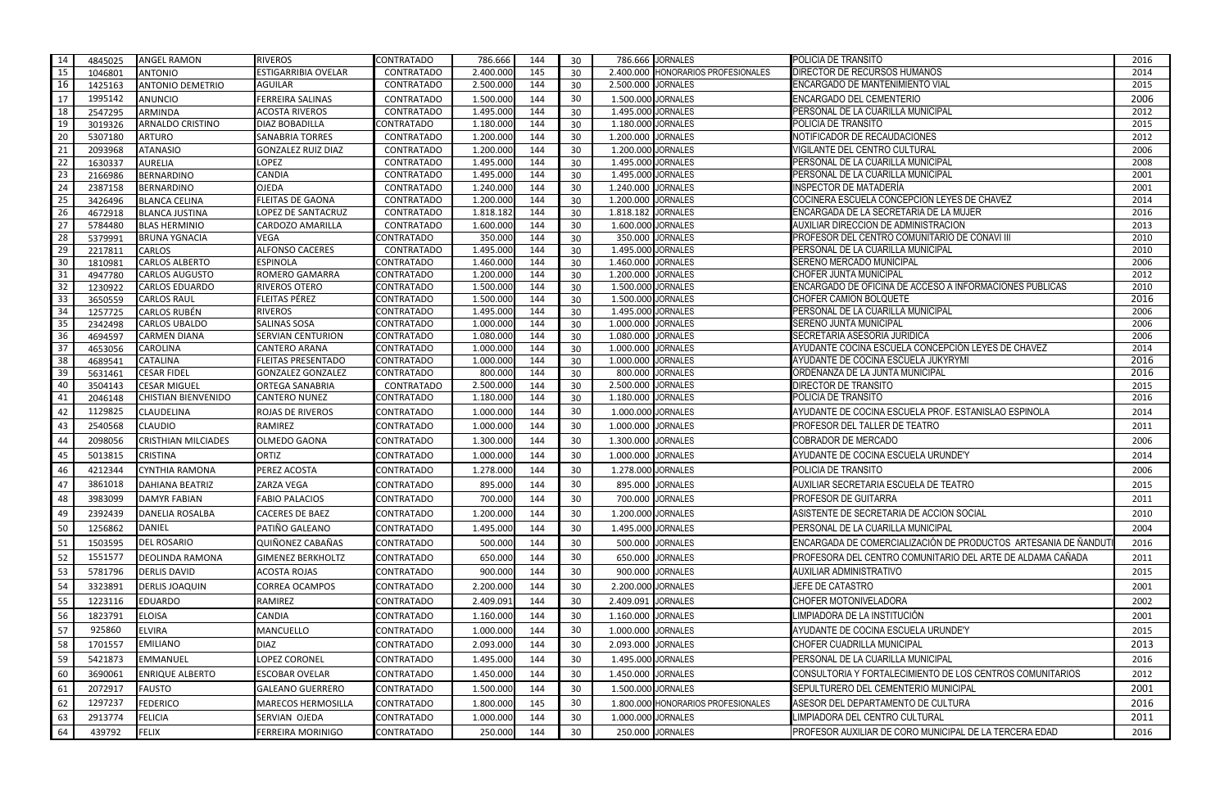| -14  | 4845025 | <b>ANGEL RAMON</b>         | <b>RIVEROS</b>             | <b>CONTRATADO</b> | 786.666   | 144 | 30 |                    | 786.666 JORNALES                   | POLICIA DE TRANSITO                                            | 2016 |
|------|---------|----------------------------|----------------------------|-------------------|-----------|-----|----|--------------------|------------------------------------|----------------------------------------------------------------|------|
| 15   | 1046801 | <b>ANTONIO</b>             | <b>ESTIGARRIBIA OVELAR</b> | <b>CONTRATADO</b> | 2.400.000 | 145 | 30 |                    | 2.400.000 HONORARIOS PROFESIONALES | <b>DIRECTOR DE RECURSOS HUMANOS</b>                            | 2014 |
| 16   | 1425163 | <b>ANTONIO DEMETRIO</b>    | <b>AGUILAR</b>             | <b>CONTRATADO</b> | 2.500.000 | 144 | 30 | 2.500.000 JORNALES |                                    | <b>ENCARGADO DE MANTENIMIENTO VIAL</b>                         | 2015 |
| -17  | 1995142 | <b>ANUNCIO</b>             | <b>FERREIRA SALINAS</b>    | CONTRATADO        | 1.500.000 | 144 | 30 | 1.500.000 JORNALES |                                    | ENCARGADO DEL CEMENTERIO                                       | 2006 |
| 18   | 2547295 | <b>ARMINDA</b>             | <b>ACOSTA RIVEROS</b>      | <b>CONTRATADO</b> | 1.495.000 | 144 | 30 | 1.495.000 JORNALES |                                    | PERSONAL DE LA CUARILLA MUNICIPAL                              | 2012 |
| 19   | 3019326 | <b>ARNALDO CRISTINO</b>    | <b>DIAZ BOBADILLA</b>      | CONTRATADO        | 1.180.000 | 144 | 30 | 1.180.000 JORNALES |                                    | POLICIA DE TRANSITO                                            | 2015 |
| -20  | 5307180 | <b>ARTURO</b>              | <b>SANABRIA TORRES</b>     | <b>CONTRATADO</b> | 1.200.000 | 144 | 30 | 1.200.000 JORNALES |                                    | NOTIFICADOR DE RECAUDACIONES                                   | 2012 |
| 21   | 2093968 | <b>ATANASIO</b>            | <b>GONZALEZ RUIZ DIAZ</b>  | <b>CONTRATADO</b> | 1.200.000 | 144 | 30 | 1.200.000 JORNALES |                                    | VIGILANTE DEL CENTRO CULTURAL                                  | 2006 |
| 22   | 1630337 | <b>AURELIA</b>             | <b>LOPEZ</b>               | <b>CONTRATADO</b> | 1.495.000 | 144 | 30 | 1.495.000 JORNALES |                                    | PERSONAL DE LA CUARILLA MUNICIPAL                              | 2008 |
| 23   | 2166986 | <b>BERNARDINO</b>          | <b>CANDIA</b>              | <b>CONTRATADO</b> | 1.495.000 | 144 | 30 | 1.495.000 JORNALES |                                    | PERSONAL DE LA CUARILLA MUNICIPAL                              | 2001 |
| 24   | 2387158 | <b>BERNARDINO</b>          | <b>OJEDA</b>               | <b>CONTRATADO</b> | 1.240.000 | 144 | 30 | 1.240.000 JORNALES |                                    | <b>INSPECTOR DE MATADERÍA</b>                                  | 2001 |
| 25   | 3426496 | <b>BLANCA CELINA</b>       | <b>FLEITAS DE GAONA</b>    | <b>CONTRATADO</b> | 1.200.000 | 144 | 30 | 1.200.000 JORNALES |                                    | COCINERA ESCUELA CONCEPCION LEYES DE CHAVEZ                    | 2014 |
| 26   | 4672918 | <b>BLANCA JUSTINA</b>      | LOPEZ DE SANTACRUZ         | <b>CONTRATADO</b> | 1.818.182 | 144 | 30 | 1.818.182 JORNALES |                                    | ENCARGADA DE LA SECRETARIA DE LA MUJER                         | 2016 |
| 27   | 5784480 | <b>BLAS HERMINIO</b>       | <b>CARDOZO AMARILLA</b>    | <b>CONTRATADO</b> | 1.600.000 | 144 | 30 | 1.600.000 JORNALES |                                    | AUXILIAR DIRECCION DE ADMINISTRACION                           | 2013 |
| 28   | 5379991 | <b>BRUNA YGNACIA</b>       | <b>VEGA</b>                | <b>CONTRATADO</b> | 350.000   | 144 | 30 |                    | 350.000 JORNALES                   | PROFESOR DEL CENTRO COMUNITARIO DE CONAVI III                  | 2010 |
| 29   | 2217811 | <b>CARLOS</b>              | <b>ALFONSO CACERES</b>     | <b>CONTRATADO</b> | 1.495.000 | 144 | 30 | 1.495.000 JORNALES |                                    | PERSONAL DE LA CUARILLA MUNICIPAL                              | 2010 |
| - 30 | 1810981 | <b>CARLOS ALBERTO</b>      | <b>ESPINOLA</b>            | CONTRATADO        | 1.460.000 | 144 | 30 | 1.460.000 JORNALES |                                    | SERENO MERCADO MUNICIPAL                                       | 2006 |
| - 31 | 4947780 | <b>CARLOS AUGUSTO</b>      | <b>ROMERO GAMARRA</b>      | CONTRATADO        | 1.200.000 | 144 | 30 | 1.200.000 JORNALES |                                    | <b>CHOFER JUNTA MUNICIPAL</b>                                  | 2012 |
| 32   | 1230922 | <b>CARLOS EDUARDO</b>      | <b>RIVEROS OTERO</b>       | CONTRATADO        | 1.500.000 | 144 | 30 | 1.500.000 JORNALES |                                    | ENCARGADO DE OFICINA DE ACCESO A INFORMACIONES PUBLICAS        | 2010 |
| -33  | 3650559 | <b>CARLOS RAUL</b>         | FLEITAS PÉREZ              | CONTRATADO        | 1.500.000 | 144 | 30 | 1.500.000 JORNALES |                                    | <b>CHOFER CAMION BOLQUETE</b>                                  | 2016 |
| 34   | 1257725 | <b>CARLOS RUBÉN</b>        | <b>RIVEROS</b>             | CONTRATADO        | 1.495.000 | 144 | 30 | 1.495.000 JORNALES |                                    | PERSONAL DE LA CUARILLA MUNICIPAL                              | 2006 |
| - 35 | 2342498 | <b>CARLOS UBALDO</b>       | <b>SALINAS SOSA</b>        | CONTRATADO        | 1.000.000 | 144 | 30 | 1.000.000 JORNALES |                                    | <b>SERENO JUNTA MUNICIPAL</b>                                  | 2006 |
| 36   | 4694597 | <b>CARMEN DIANA</b>        | <b>SERVIAN CENTURION</b>   | CONTRATADO        | 1.080.000 | 144 | 30 | 1.080.000 JORNALES |                                    | SECRETARIA ASESORIA JURIDICA                                   | 2006 |
| 37   | 4653056 | <b>CAROLINA</b>            | <b>CANTERO ARANA</b>       | <b>CONTRATADO</b> | 1.000.000 | 144 | 30 | 1.000.000 JORNALES |                                    | AYUDANTE COCINA ESCUELA CONCEPCIÓN LEYES DE CHAVEZ             | 2014 |
| 38   | 4689541 | <b>CATALINA</b>            | <b>FLEITAS PRESENTADO</b>  | <b>CONTRATADO</b> | 1.000.000 | 144 | 30 | 1.000.000 JORNALES |                                    | AYUDANTE DE COCINA ESCUELA JUKYRYMI                            | 2016 |
| 39   | 5631461 | <b>CESAR FIDEL</b>         | <b>GONZALEZ GONZALEZ</b>   | CONTRATADO        | 800.000   | 144 | 30 |                    | 800.000 JORNALES                   | ORDENANZA DE LA JUNTA MUNICIPAL                                | 2016 |
| 40   | 3504143 | <b>CESAR MIGUEL</b>        | <b>ORTEGA SANABRIA</b>     | <b>CONTRATADO</b> | 2.500.000 | 144 | 30 | 2.500.000 JORNALES |                                    | <b>DIRECTOR DE TRANSITO</b>                                    | 2015 |
| 41   | 2046148 | <b>CHISTIAN BIENVENIDO</b> | <b>CANTERO NUNEZ</b>       | CONTRATADO        | 1.180.000 | 144 | 30 | 1.180.000 JORNALES |                                    | POLICIA DE TRANSITO                                            | 2016 |
| 42   | 1129825 | <b>CLAUDELINA</b>          | ROJAS DE RIVEROS           | <b>CONTRATADO</b> | 1.000.000 | 144 | 30 | 1.000.000 JORNALES |                                    | AYUDANTE DE COCINA ESCUELA PROF. ESTANISLAO ESPINOLA           | 2014 |
| 43   | 2540568 | <b>CLAUDIO</b>             | RAMIREZ                    | CONTRATADO        | 1.000.000 | 144 | 30 | 1.000.000 JORNALES |                                    | <b>PROFESOR DEL TALLER DE TEATRO</b>                           | 2011 |
| 44   | 2098056 | <b>CRISTHIAN MILCIADES</b> | <b>OLMEDO GAONA</b>        | CONTRATADO        | 1.300.000 | 144 | 30 | 1.300.000 JORNALES |                                    | COBRADOR DE MERCADO                                            | 2006 |
| 45   | 5013815 | <b>CRISTINA</b>            | <b>ORTIZ</b>               | CONTRATADO        | 1.000.000 | 144 | 30 | 1.000.000 JORNALES |                                    | AYUDANTE DE COCINA ESCUELA URUNDE'Y                            | 2014 |
| 46   | 4212344 | CYNTHIA RAMONA             | PEREZ ACOSTA               | CONTRATADO        | 1.278.000 | 144 | 30 | 1.278.000 JORNALES |                                    | POLICIA DE TRANSITO                                            | 2006 |
| 47   | 3861018 | <b>DAHIANA BEATRIZ</b>     | ZARZA VEGA                 | CONTRATADO        | 895.000   | 144 | 30 |                    | 895.000 JORNALES                   | AUXILIAR SECRETARIA ESCUELA DE TEATRO                          | 2015 |
| 48   | 3983099 | <b>DAMYR FABIAN</b>        | <b>FABIO PALACIOS</b>      | <b>CONTRATADO</b> | 700.000   | 144 | 30 |                    | 700.000 JORNALES                   | PROFESOR DE GUITARRA                                           | 2011 |
| 49   | 2392439 | <b>DANELIA ROSALBA</b>     | <b>CACERES DE BAEZ</b>     | CONTRATADO        | 1.200.000 | 144 | 30 | 1.200.000 JORNALES |                                    | ASISTENTE DE SECRETARIA DE ACCION SOCIAL                       | 2010 |
| 50   | 1256862 | <b>DANIEL</b>              | PATIÑO GALEANO             | CONTRATADO        | 1.495.000 | 144 | 30 | 1.495.000 JORNALES |                                    | PERSONAL DE LA CUARILLA MUNICIPAL                              | 2004 |
| -51  | 1503595 | <b>DEL ROSARIO</b>         | QUIÑONEZ CABAÑAS           | <b>CONTRATADO</b> | 500.000   | 144 | 30 |                    | 500.000 JORNALES                   | ENCARGADA DE COMERCIALIZACIÓN DE PRODUCTOS ARTESANIA DE ÑANDUT | 2016 |
|      |         |                            |                            |                   |           |     |    |                    | 650.000 JORNALES                   |                                                                |      |
| 52   | 1551577 | <b>DEOLINDA RAMONA</b>     | <b>GIMENEZ BERKHOLTZ</b>   | <b>CONTRATADO</b> | 650.000   | 144 | 30 |                    |                                    | PROFESORA DEL CENTRO COMUNITARIO DEL ARTE DE ALDAMA CAÑADA     | 2011 |
| 53   | 5781796 | <b>DERLIS DAVID</b>        | <b>ACOSTA ROJAS</b>        | <b>CONTRATADO</b> | 900.000   | 144 | 30 |                    | 900.000 JORNALES                   | AUXILIAR ADMINISTRATIVO                                        | 2015 |
| 54   | 3323891 | <b>DERLIS JOAQUIN</b>      | <b>CORREA OCAMPOS</b>      | CONTRATADO        | 2.200.000 | 144 | 30 | 2.200.000 JORNALES |                                    | JEFE DE CATASTRO                                               | 2001 |
| 55   | 1223116 | <b>EDUARDO</b>             | <b>RAMIREZ</b>             | CONTRATADO        | 2.409.091 | 144 | 30 | 2.409.091 JORNALES |                                    | CHOFER MOTONIVELADORA                                          | 2002 |
| 56   | 1823791 | <b>ELOISA</b>              | CANDIA                     | CONTRATADO        | 1.160.000 | 144 | 30 | 1.160.000 JORNALES |                                    | LIMPIADORA DE LA INSTITUCIÓN                                   | 2001 |
| 57   | 925860  | <b>ELVIRA</b>              | MANCUELLO                  | CONTRATADO        | 1.000.000 | 144 | 30 | 1.000.000 JORNALES |                                    | AYUDANTE DE COCINA ESCUELA URUNDE'Y                            | 2015 |
| 58   | 1701557 | <b>EMILIANO</b>            | <b>DIAZ</b>                | CONTRATADO        | 2.093.000 | 144 | 30 | 2.093.000 JORNALES |                                    | CHOFER CUADRILLA MUNICIPAL                                     | 2013 |
| 59   | 5421873 | <b>EMMANUEL</b>            | <b>LOPEZ CORONEL</b>       | CONTRATADO        | 1.495.000 | 144 | 30 | 1.495.000 JORNALES |                                    | PERSONAL DE LA CUARILLA MUNICIPAL                              | 2016 |
| 60   | 3690061 | <b>ENRIQUE ALBERTO</b>     | <b>ESCOBAR OVELAR</b>      | <b>CONTRATADO</b> | 1.450.000 | 144 | 30 | 1.450.000 JORNALES |                                    | CONSULTORIA Y FORTALECIMIENTO DE LOS CENTROS COMUNITARIOS      | 2012 |
| 61   | 2072917 | <b>FAUSTO</b>              | <b>GALEANO GUERRERO</b>    | <b>CONTRATADO</b> | 1.500.000 | 144 | 30 | 1.500.000 JORNALES |                                    | SEPULTURERO DEL CEMENTERIO MUNICIPAL                           | 2001 |
| 62   | 1297237 | <b>FEDERICO</b>            | <b>MARECOS HERMOSILLA</b>  | <b>CONTRATADO</b> | 1.800.000 | 145 | 30 |                    | 1.800.000 HONORARIOS PROFESIONALES | ASESOR DEL DEPARTAMENTO DE CULTURA                             | 2016 |
|      |         |                            |                            |                   |           |     |    |                    |                                    |                                                                |      |
| 63   | 2913774 | <b>FELICIA</b>             | SERVIAN OJEDA              | CONTRATADO        | 1.000.000 | 144 | 30 | 1.000.000 JORNALES |                                    | LIMPIADORA DEL CENTRO CULTURAL                                 | 2011 |
| 64   | 439792  | <b>FELIX</b>               | <b>FERREIRA MORINIGO</b>   | CONTRATADO        | 250.000   | 144 | 30 |                    | 250.000 JORNALES                   | PROFESOR AUXILIAR DE CORO MUNICIPAL DE LA TERCERA EDAD         | 2016 |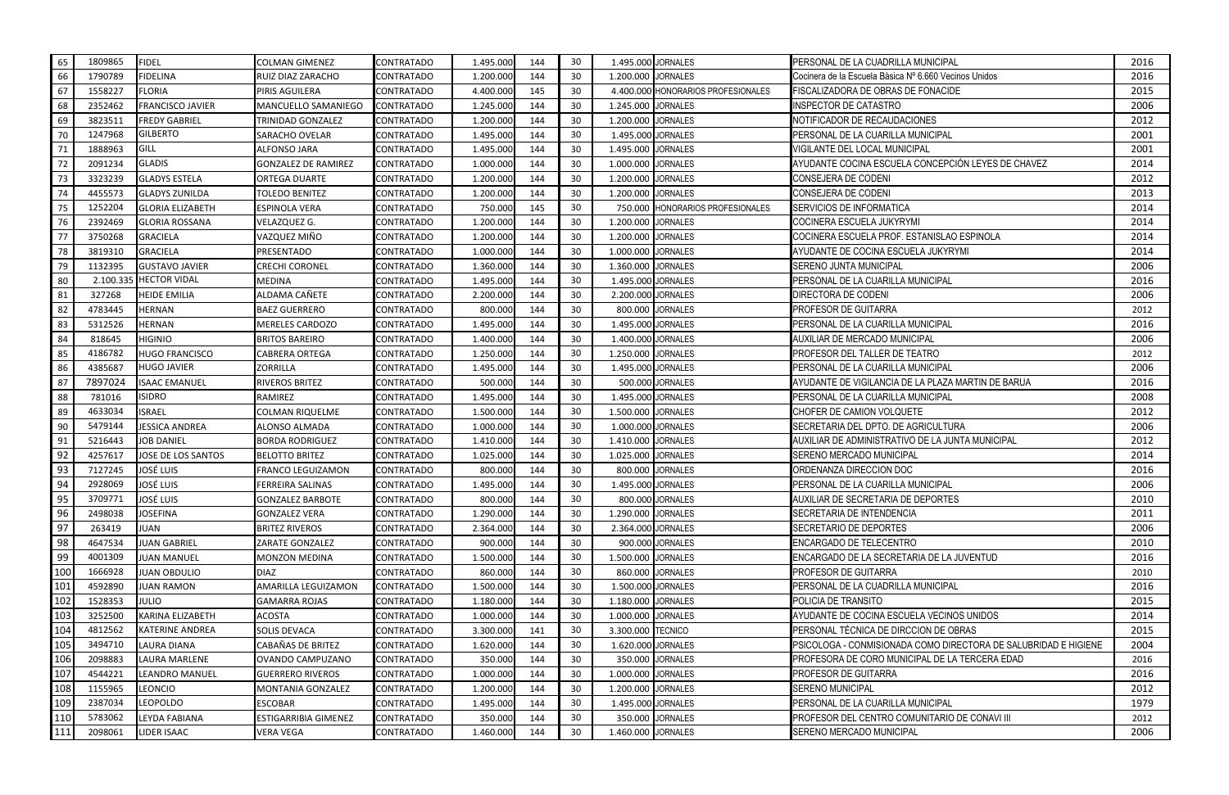| 65  | 1809865 | <b>FIDEL</b>            | <b>COLMAN GIMENEZ</b>      | <b>CONTRATADO</b> | 1.495.000 | 144 | 30 | 1.495.000 JORNALES |                                    | PERSONAL DE LA CUADRILLA MUNICIPAL                              | 2016 |
|-----|---------|-------------------------|----------------------------|-------------------|-----------|-----|----|--------------------|------------------------------------|-----------------------------------------------------------------|------|
| 66  | 1790789 | <b>FIDELINA</b>         | RUIZ DIAZ ZARACHO          | <b>CONTRATADO</b> | 1.200.000 | 144 | 30 | 1.200.000 JORNALES |                                    | Cocinera de la Escuela Bàsica Nº 6.660 Vecinos Unidos           | 2016 |
| 67  | 1558227 | <b>FLORIA</b>           | <b>PIRIS AGUILERA</b>      | CONTRATADO        | 4.400.000 | 145 | 30 |                    | 4.400.000 HONORARIOS PROFESIONALES | FISCALIZADORA DE OBRAS DE FONACIDE                              | 2015 |
| 68  | 2352462 | <b>FRANCISCO JAVIER</b> | MANCUELLO SAMANIEGO        | <b>CONTRATADO</b> | 1.245.000 | 144 | 30 | 1.245.000 JORNALES |                                    | INSPECTOR DE CATASTRO                                           | 2006 |
| 69  | 3823511 | <b>FREDY GABRIEL</b>    | TRINIDAD GONZALEZ          | CONTRATADO        | 1.200.000 | 144 | 30 | 1.200.000 JORNALES |                                    | NOTIFICADOR DE RECAUDACIONES                                    | 2012 |
| 70  | 1247968 | <b>GILBERTO</b>         | <b>SARACHO OVELAR</b>      | <b>CONTRATADO</b> | 1.495.000 | 144 | 30 | 1.495.000 JORNALES |                                    | PERSONAL DE LA CUARILLA MUNICIPAL                               | 2001 |
| 71  | 1888963 | <b>GILL</b>             | ALFONSO JARA               | CONTRATADO        | 1.495.000 | 144 | 30 | 1.495.000 JORNALES |                                    | VIGILANTE DEL LOCAL MUNICIPAL                                   | 2001 |
| 72  | 2091234 | <b>GLADIS</b>           | <b>GONZALEZ DE RAMIREZ</b> | <b>CONTRATADO</b> | 1.000.000 | 144 | 30 | 1.000.000 JORNALES |                                    | AYUDANTE COCINA ESCUELA CONCEPCIÓN LEYES DE CHAVEZ              | 2014 |
| -73 | 3323239 | <b>GLADYS ESTELA</b>    | <b>ORTEGA DUARTE</b>       | <b>CONTRATADO</b> | 1.200.000 | 144 | 30 | 1.200.000 JORNALES |                                    | <b>CONSEJERA DE CODENI</b>                                      | 2012 |
| 74  | 4455573 | <b>GLADYS ZUNILDA</b>   | <b>TOLEDO BENITEZ</b>      | CONTRATADO        | 1.200.000 | 144 | 30 | 1.200.000 JORNALES |                                    | CONSEJERA DE CODENI                                             | 2013 |
| 75  | 1252204 | <b>GLORIA ELIZABETH</b> | ESPINOLA VERA              | <b>CONTRATADO</b> | 750.000   | 145 | 30 |                    | 750.000 HONORARIOS PROFESIONALES   | <b>SERVICIOS DE INFORMATICA</b>                                 | 2014 |
| 76  | 2392469 | <b>GLORIA ROSSANA</b>   | VELAZQUEZ G.               | CONTRATADO        | 1.200.000 | 144 | 30 | 1.200.000 JORNALES |                                    | COCINERA ESCUELA JUKYRYMI                                       | 2014 |
| 77  | 3750268 | <b>GRACIELA</b>         | VAZQUEZ MIÑO               | CONTRATADO        | 1.200.000 | 144 | 30 | 1.200.000 JORNALES |                                    | COCINERA ESCUELA PROF. ESTANISLAO ESPINOLA                      | 2014 |
| 78  | 3819310 | <b>GRACIELA</b>         | PRESENTADO                 | CONTRATADO        | 1.000.000 | 144 | 30 | 1.000.000 JORNALES |                                    | AYUDANTE DE COCINA ESCUELA JUKYRYMI                             | 2014 |
| 79  | 1132395 | <b>GUSTAVO JAVIER</b>   | <b>CRECHI CORONEL</b>      | CONTRATADO        | 1.360.000 | 144 | 30 | 1.360.000 JORNALES |                                    | <b>SERENO JUNTA MUNICIPAL</b>                                   | 2006 |
| 80  |         | 2.100.335 HECTOR VIDAL  | <b>MEDINA</b>              | <b>CONTRATADO</b> | 1.495.000 | 144 | 30 | 1.495.000 JORNALES |                                    | PERSONAL DE LA CUARILLA MUNICIPAL                               | 2016 |
| 81  | 327268  | <b>HEIDE EMILIA</b>     | ALDAMA CAÑETE              | CONTRATADO        | 2.200.000 | 144 | 30 | 2.200.000 JORNALES |                                    | DIRECTORA DE CODENI                                             | 2006 |
| 82  | 4783445 | <b>HERNAN</b>           | <b>BAEZ GUERRERO</b>       | <b>CONTRATADO</b> | 800.000   | 144 | 30 |                    | 800.000 JORNALES                   | PROFESOR DE GUITARRA                                            | 2012 |
| 83  | 5312526 | <b>HERNAN</b>           | MERELES CARDOZO            | CONTRATADO        | 1.495.000 | 144 | 30 | 1.495.000 JORNALES |                                    | PERSONAL DE LA CUARILLA MUNICIPAL                               | 2016 |
| 84  | 818645  | <b>HIGINIO</b>          | <b>BRITOS BAREIRO</b>      | CONTRATADO        | 1.400.000 | 144 | 30 | 1.400.000 JORNALES |                                    | AUXILIAR DE MERCADO MUNICIPAL                                   | 2006 |
| 85  | 4186782 | <b>HUGO FRANCISCO</b>   | <b>CABRERA ORTEGA</b>      | CONTRATADO        | 1.250.000 | 144 | 30 | 1.250.000 JORNALES |                                    | PROFESOR DEL TALLER DE TEATRO                                   | 2012 |
| 86  | 4385687 | <b>HUGO JAVIER</b>      | <b>ZORRILLA</b>            | CONTRATADO        | 1.495.000 | 144 | 30 | 1.495.000 JORNALES |                                    | PERSONAL DE LA CUARILLA MUNICIPAL                               | 2006 |
| 87  | 7897024 | <b>ISAAC EMANUEL</b>    | <b>RIVEROS BRITEZ</b>      | <b>CONTRATADO</b> | 500.000   | 144 | 30 |                    | 500.000 JORNALES                   | AYUDANTE DE VIGILANCIA DE LA PLAZA MARTIN DE BARUA              | 2016 |
| 88  | 781016  | <b>ISIDRO</b>           | RAMIREZ                    | CONTRATADO        | 1.495.000 | 144 | 30 | 1.495.000 JORNALES |                                    | PERSONAL DE LA CUARILLA MUNICIPAL                               | 2008 |
| 89  | 4633034 | <b>ISRAEL</b>           | <b>COLMAN RIQUELME</b>     | <b>CONTRATADO</b> | 1.500.000 | 144 | 30 | 1.500.000 JORNALES |                                    | CHOFER DE CAMION VOLQUETE                                       | 2012 |
| 90  | 5479144 | <b>JESSICA ANDREA</b>   | ALONSO ALMADA              | CONTRATADO        | 1.000.000 | 144 | 30 | 1.000.000 JORNALES |                                    | SECRETARIA DEL DPTO. DE AGRICULTURA                             | 2006 |
| 91  | 5216443 | <b>JOB DANIEL</b>       | <b>BORDA RODRIGUEZ</b>     | <b>CONTRATADO</b> | 1.410.000 | 144 | 30 | 1.410.000 JORNALES |                                    | AUXILIAR DE ADMINISTRATIVO DE LA JUNTA MUNICIPAL                | 2012 |
| 92  | 4257617 | JOSE DE LOS SANTOS      | <b>BELOTTO BRITEZ</b>      | CONTRATADO        | 1.025.000 | 144 | 30 | 1.025.000 JORNALES |                                    | SERENO MERCADO MUNICIPAL                                        | 2014 |
| 93  | 7127245 | <b>JOSÉ LUIS</b>        | <b>FRANCO LEGUIZAMON</b>   | <b>CONTRATADO</b> | 800.000   | 144 | 30 |                    | 800.000 JORNALES                   | ORDENANZA DIRECCION DOC                                         | 2016 |
| 94  | 2928069 | <b>JOSÉ LUIS</b>        | <b>FERREIRA SALINAS</b>    | <b>CONTRATADO</b> | 1.495.000 | 144 | 30 | 1.495.000 JORNALES |                                    | PERSONAL DE LA CUARILLA MUNICIPAL                               | 2006 |
| 95  | 3709771 | JOSÉ LUIS               | <b>GONZALEZ BARBOTE</b>    | <b>CONTRATADO</b> | 800.000   | 144 | 30 |                    | 800.000 JORNALES                   | AUXILIAR DE SECRETARIA DE DEPORTES                              | 2010 |
| 96  | 2498038 | <b>JOSEFINA</b>         | <b>GONZALEZ VERA</b>       | <b>CONTRATADO</b> | 1.290.000 | 144 | 30 | 1.290.000 JORNALES |                                    | SECRETARIA DE INTENDENCIA                                       | 2011 |
| 97  | 263419  | <b>JUAN</b>             | <b>BRITEZ RIVEROS</b>      | CONTRATADO        | 2.364.000 | 144 | 30 | 2.364.000 JORNALES |                                    | SECRETARIO DE DEPORTES                                          | 2006 |
| 98  | 4647534 | <b>JUAN GABRIEL</b>     | ZARATE GONZALEZ            | <b>CONTRATADO</b> | 900.000   | 144 | 30 |                    | 900.000 JORNALES                   | <b>ENCARGADO DE TELECENTRO</b>                                  | 2010 |
| 99  | 4001309 | <b>JUAN MANUEL</b>      | <b>MONZON MEDINA</b>       | <b>CONTRATADO</b> | 1.500.000 | 144 | 30 | 1.500.000 JORNALES |                                    | ENCARGADO DE LA SECRETARIA DE LA JUVENTUD                       | 2016 |
| 100 | 1666928 | <b>JUAN OBDULIO</b>     | <b>DIAZ</b>                | <b>CONTRATADO</b> | 860.000   | 144 | 30 |                    | 860.000 JORNALES                   | PROFESOR DE GUITARRA                                            | 2010 |
| 101 | 4592890 | <b>JUAN RAMON</b>       | AMARILLA LEGUIZAMON        | <b>CONTRATADO</b> | 1.500.000 | 144 | 30 | 1.500.000 JORNALES |                                    | PERSONAL DE LA CUADRILLA MUNICIPAL                              | 2016 |
| 102 | 1528353 | <b>JULIO</b>            | <b>GAMARRA ROJAS</b>       | CONTRATADO        | 1.180.000 | 144 | 30 | 1.180.000 JORNALES |                                    | POLICIA DE TRANSITO                                             | 2015 |
| 103 | 3252500 | KARINA ELIZABETH        | ACOSTA                     | <b>CONTRATADO</b> | 1.000.000 | 144 | 30 | 1.000.000 JORNALES |                                    | AYUDANTE DE COCINA ESCUELA VECINOS UNIDOS                       | 2014 |
| 104 | 4812562 | <b>KATERINE ANDREA</b>  | <b>SOLIS DEVACA</b>        | CONTRATADO        | 3.300.000 | 141 | 30 | 3.300.000 TECNICO  |                                    | PERSONAL TÉCNICA DE DIRCCION DE OBRAS                           | 2015 |
| 105 | 3494710 | <b>LAURA DIANA</b>      | CABAÑAS DE BRITEZ          | <b>CONTRATADO</b> | 1.620.000 | 144 | 30 |                    | 1.620.000 JORNALES                 | PSICOLOGA - CONMISIONADA COMO DIRECTORA DE SALUBRIDAD E HIGIENE | 2004 |
| 106 | 2098883 | LAURA MARLENE           | OVANDO CAMPUZANO           | <b>CONTRATADO</b> | 350.000   | 144 | 30 |                    | 350.000 JORNALES                   | PROFESORA DE CORO MUNICIPAL DE LA TERCERA EDAD                  | 2016 |
| 107 | 4544221 | <b>LEANDRO MANUEL</b>   | <b>GUERRERO RIVEROS</b>    | <b>CONTRATADO</b> | 1.000.000 | 144 | 30 | 1.000.000 JORNALES |                                    | PROFESOR DE GUITARRA                                            | 2016 |
| 108 | 1155965 | <b>LEONCIO</b>          | MONTANIA GONZALEZ          | <b>CONTRATADO</b> | 1.200.000 | 144 | 30 | 1.200.000 JORNALES |                                    | <b>SERENO MUNICIPAL</b>                                         | 2012 |
| 109 | 2387034 | <b>LEOPOLDO</b>         | ESCOBAR                    | CONTRATADO        | 1.495.000 | 144 | 30 |                    | 1.495.000 JORNALES                 | PERSONAL DE LA CUARILLA MUNICIPAL                               | 1979 |
| 110 | 5783062 | LEYDA FABIANA           | ESTIGARRIBIA GIMENEZ       | CONTRATADO        | 350.000   | 144 | 30 |                    | 350.000 JORNALES                   | PROFESOR DEL CENTRO COMUNITARIO DE CONAVI III                   | 2012 |
| 111 | 2098061 | LIDER ISAAC             | <b>VERA VEGA</b>           | <b>CONTRATADO</b> | 1.460.000 | 144 | 30 | 1.460.000 JORNALES |                                    | SERENO MERCADO MUNICIPAL                                        | 2006 |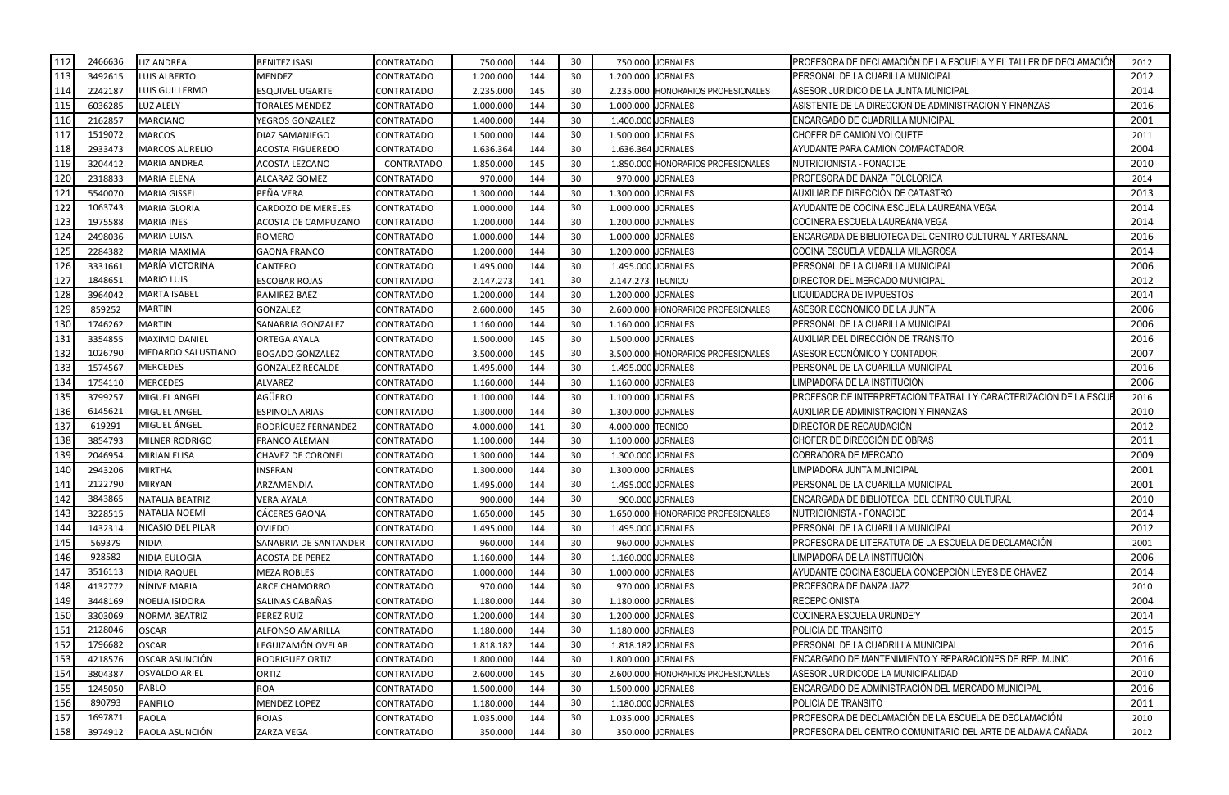| 112             | 2466636 | <b>LIZ ANDREA</b>         | <b>BENITEZ ISASI</b>     | <b>CONTRATADO</b> | 750.000   | 144 | 30 | 750.000            | <b>JORNALES</b>                    | PROFESORA DE DECLAMACIÓN DE LA ESCUELA Y EL TALLER DE DECLAMACIÓN  | 2012 |
|-----------------|---------|---------------------------|--------------------------|-------------------|-----------|-----|----|--------------------|------------------------------------|--------------------------------------------------------------------|------|
| 113             | 3492615 | <b>LUIS ALBERTO</b>       | <b>MENDEZ</b>            | CONTRATADO        | 1.200.000 | 144 | 30 | 1.200.000 JORNALES |                                    | PERSONAL DE LA CUARILLA MUNICIPAL                                  | 2012 |
| 11 <sup>2</sup> | 2242187 | LUIS GUILLERMO            | <b>ESQUIVEL UGARTE</b>   | <b>CONTRATADO</b> | 2.235.000 | 145 | 30 |                    | 2.235.000 HONORARIOS PROFESIONALES | ASESOR JURIDICO DE LA JUNTA MUNICIPAL                              | 2014 |
| 115             | 6036285 | <b>LUZ ALELY</b>          | <b>TORALES MENDEZ</b>    | <b>CONTRATADO</b> | 1.000.000 | 144 | 30 | 1.000.000 JORNALES |                                    | ASISTENTE DE LA DIRECCION DE ADMINISTRACION Y FINANZAS             | 2016 |
| 116             | 2162857 | <b>MARCIANO</b>           | YEGROS GONZALEZ          | CONTRATADO        | 1.400.000 | 144 | 30 | 1.400.000 JORNALES |                                    | ENCARGADO DE CUADRILLA MUNICIPAL                                   | 2001 |
| 117             | 1519072 | <b>MARCOS</b>             | DIAZ SAMANIEGO           | <b>CONTRATADO</b> | 1.500.000 | 144 | 30 | 1.500.000 JORNALES |                                    | CHOFER DE CAMION VOLQUETE                                          | 2011 |
| 118             | 2933473 | <b>MARCOS AURELIO</b>     | <b>ACOSTA FIGUEREDO</b>  | CONTRATADO        | 1.636.364 | 144 | 30 | 1.636.364 JORNALES |                                    | AYUDANTE PARA CAMION COMPACTADOR                                   | 2004 |
| 119             | 3204412 | <b>MARIA ANDREA</b>       | ACOSTA LEZCANO           | CONTRATADO        | 1.850.000 | 145 | 30 |                    | 1.850.000 HONORARIOS PROFESIONALES | NUTRICIONISTA - FONACIDE                                           | 2010 |
| 120             | 2318833 | <b>MARIA ELENA</b>        | <b>ALCARAZ GOMEZ</b>     | <b>CONTRATADO</b> | 970.000   | 144 | 30 |                    | 970.000 JORNALES                   | <b>PROFESORA DE DANZA FOLCLORICA</b>                               | 2014 |
| 121             | 5540070 | <b>MARIA GISSEL</b>       | PEÑA VERA                | CONTRATADO        | 1.300.000 | 144 | 30 | 1.300.000 JORNALES |                                    | AUXILIAR DE DIRECCIÓN DE CATASTRO                                  | 2013 |
| 122             | 1063743 | <b>MARIA GLORIA</b>       | CARDOZO DE MERELES       | <b>CONTRATADO</b> | 1.000.000 | 144 | 30 | 1.000.000 JORNALES |                                    | AYUDANTE DE COCINA ESCUELA LAUREANA VEGA                           | 2014 |
| 123             | 1975588 | <b>MARIA INES</b>         | ACOSTA DE CAMPUZANO      | <b>CONTRATADO</b> | 1.200.000 | 144 | 30 | 1.200.000 JORNALES |                                    | COCINERA ESCUELA LAUREANA VEGA                                     | 2014 |
| 124             | 2498036 | <b>MARIA LUISA</b>        | <b>ROMERO</b>            | <b>CONTRATADO</b> | 1.000.000 | 144 | 30 | 1.000.000          | <b>JORNALES</b>                    | ENCARGADA DE BIBLIOTECA DEL CENTRO CULTURAL Y ARTESANAL            | 2016 |
| 125             | 2284382 | <b>MARIA MAXIMA</b>       | <b>GAONA FRANCO</b>      | CONTRATADO        | 1.200.000 | 144 | 30 | 1.200.000 JORNALES |                                    | COCINA ESCUELA MEDALLA MILAGROSA                                   | 2014 |
| 126             | 3331661 | <b>MARÍA VICTORINA</b>    | CANTERO                  | <b>CONTRATADO</b> | 1.495.000 | 144 | 30 | 1.495.000 JORNALES |                                    | PERSONAL DE LA CUARILLA MUNICIPAL                                  | 2006 |
| 127             | 1848651 | <b>MARIO LUIS</b>         | <b>ESCOBAR ROJAS</b>     | <b>CONTRATADO</b> | 2.147.273 | 141 | 30 | 2.147.273 TECNICO  |                                    | DIRECTOR DEL MERCADO MUNICIPAL                                     | 2012 |
| 128             | 3964042 | <b>MARTA ISABEL</b>       | RAMIREZ BAEZ             | CONTRATADO        | 1.200.000 | 144 | 30 | 1.200.000 JORNALES |                                    | LIQUIDADORA DE IMPUESTOS                                           | 2014 |
| 129             | 859252  | <b>MARTIN</b>             | <b>GONZALEZ</b>          | <b>CONTRATADO</b> | 2.600.000 | 145 | 30 |                    | 2.600.000 HONORARIOS PROFESIONALES | ASESOR ECONOMICO DE LA JUNTA                                       | 2006 |
| 130             | 1746262 | <b>MARTIN</b>             | SANABRIA GONZALEZ        | <b>CONTRATADO</b> | 1.160.000 | 144 | 30 | 1.160.000 JORNALES |                                    | PERSONAL DE LA CUARILLA MUNICIPAL                                  | 2006 |
| 131             | 3354855 | <b>MAXIMO DANIEL</b>      | <b>ORTEGA AYALA</b>      | <b>CONTRATADO</b> | 1.500.000 | 145 | 30 | 1.500.000 JORNALES |                                    | AUXILIAR DEL DIRECCIÓN DE TRANSITO                                 | 2016 |
| 132             | 1026790 | <b>MEDARDO SALUSTIANO</b> | <b>BOGADO GONZALEZ</b>   | <b>CONTRATADO</b> | 3.500.000 | 145 | 30 |                    | 3.500.000 HONORARIOS PROFESIONALES | ASESOR ECONÓMICO Y CONTADOR                                        | 2007 |
| 133             | 1574567 | <b>MERCEDES</b>           | <b>GONZALEZ RECALDE</b>  | <b>CONTRATADO</b> | 1.495.000 | 144 | 30 | 1.495.000 JORNALES |                                    | PERSONAL DE LA CUARILLA MUNICIPAL                                  | 2016 |
| 134             | 1754110 | <b>MERCEDES</b>           | <b>ALVAREZ</b>           | <b>CONTRATADO</b> | 1.160.000 | 144 | 30 | 1.160.000 JORNALES |                                    | LIMPIADORA DE LA INSTITUCIÓN                                       | 2006 |
| 135             | 3799257 | <b>MIGUEL ANGEL</b>       | AGÜERO                   | CONTRATADO        | 1.100.000 | 144 | 30 | 1.100.000 JORNALES |                                    | PROFESOR DE INTERPRETACION TEATRAL I Y CARACTERIZACION DE LA ESCUI | 2016 |
| 136             | 6145621 | <b>MIGUEL ANGEL</b>       | ESPINOLA ARIAS           | <b>CONTRATADO</b> | 1.300.000 | 144 | 30 | 1.300.000 JORNALES |                                    | AUXILIAR DE ADMINISTRACION Y FINANZAS                              | 2010 |
| 137             | 619291  | MIGUEL ÁNGEL              | RODRÍGUEZ FERNANDEZ      | <b>CONTRATADO</b> | 4.000.000 | 141 | 30 | 4.000.000 TECNICO  |                                    | DIRECTOR DE RECAUDACIÓN                                            | 2012 |
| 138             | 3854793 | <b>MILNER RODRIGO</b>     | <b>FRANCO ALEMAN</b>     | <b>CONTRATADO</b> | 1.100.000 | 144 | 30 | 1.100.000          | <b>JORNALES</b>                    | CHOFER DE DIRECCIÓN DE OBRAS                                       | 2011 |
| 139             | 2046954 | <b>MIRIAN ELISA</b>       | <b>CHAVEZ DE CORONEL</b> | <b>CONTRATADO</b> | 1.300.000 | 144 | 30 | 1.300.000 JORNALES |                                    | COBRADORA DE MERCADO                                               | 2009 |
| 140             | 2943206 | <b>MIRTHA</b>             | INSFRAN                  | CONTRATADO        | 1.300.000 | 144 | 30 | 1.300.000 JORNALES |                                    | LIMPIADORA JUNTA MUNICIPAL                                         | 2001 |
| 141             | 2122790 | <b>MIRYAN</b>             | ARZAMENDIA               | CONTRATADO        | 1.495.000 | 144 | 30 | 1.495.000 JORNALES |                                    | PERSONAL DE LA CUARILLA MUNICIPAL                                  | 2001 |
| 142             | 3843865 | NATALIA BEATRIZ           | <b>VERA AYALA</b>        | <b>CONTRATADO</b> | 900.000   | 144 | 30 |                    | 900.000 JORNALES                   | ENCARGADA DE BIBLIOTECA DEL CENTRO CULTURAL                        | 2010 |
| 143             | 3228515 | NATALIA NOEMÍ             | <b>CÁCERES GAONA</b>     | <b>CONTRATADO</b> | 1.650.000 | 145 | 30 |                    | 1.650.000 HONORARIOS PROFESIONALES | NUTRICIONISTA - FONACIDE                                           | 2014 |
| 144             | 1432314 | <b>NICASIO DEL PILAR</b>  | <b>OVIEDO</b>            | <b>CONTRATADO</b> | 1.495.000 | 144 | 30 | 1.495.000 JORNALES |                                    | PERSONAL DE LA CUARILLA MUNICIPAL                                  | 2012 |
| 145             | 569379  | <b>NIDIA</b>              | SANABRIA DE SANTANDER    | <b>CONTRATADO</b> | 960.000   | 144 | 30 |                    | 960.000 JORNALES                   | PROFESORA DE LITERATUTA DE LA ESCUELA DE DECLAMACIÓN               | 2001 |
| 146             | 928582  | <b>NIDIA EULOGIA</b>      | <b>ACOSTA DE PEREZ</b>   | <b>CONTRATADO</b> | 1.160.000 | 144 | 30 | 1.160.000 JORNALES |                                    | LIMPIADORA DE LA INSTITUCIÓN                                       | 2006 |
| 147             | 3516113 | <b>NIDIA RAQUEL</b>       | <b>MEZA ROBLES</b>       | CONTRATADO        | 1.000.000 | 144 | 30 | 1.000.000 JORNALES |                                    | AYUDANTE COCINA ESCUELA CONCEPCIÓN LEYES DE CHAVEZ                 | 2014 |
| 148             | 4132772 | NÍNIVE MARIA              | ARCE CHAMORRO            | <b>CONTRATADO</b> | 970.000   | 144 | 30 |                    | 970.000 JORNALES                   | PROFESORA DE DANZA JAZZ                                            | 2010 |
| 149             | 3448169 | <b>NOELIA ISIDORA</b>     | SALINAS CABAÑAS          | <b>CONTRATADO</b> | 1.180.000 | 144 | 30 | 1.180.000 JORNALES |                                    | <b>RECEPCIONISTA</b>                                               | 2004 |
| 150             | 3303069 | <b>NORMA BEATRIZ</b>      | PEREZ RUIZ               | <b>CONTRATADO</b> | 1.200.000 | 144 | 30 | 1.200.000 JORNALES |                                    | <b>COCINERA ESCUELA URUNDE'Y</b>                                   | 2014 |
| 151             | 2128046 | <b>OSCAR</b>              | ALFONSO AMARILLA         | <b>CONTRATADO</b> | 1.180.000 | 144 | 30 | 1.180.000 JORNALES |                                    | POLICIA DE TRANSITO                                                | 2015 |
| 152             | 1796682 | <b>OSCAR</b>              | LEGUIZAMÓN OVELAR        | <b>CONTRATADO</b> | 1.818.182 | 144 | 30 | 1.818.182 JORNALES |                                    | PERSONAL DE LA CUADRILLA MUNICIPAL                                 | 2016 |
| 153             | 4218576 | OSCAR ASUNCIÓN            | <b>RODRIGUEZ ORTIZ</b>   | <b>CONTRATADO</b> | 1.800.000 | 144 | 30 | 1.800.000 JORNALES |                                    | <b>ENCARGADO DE MANTENIMIENTO Y REPARACIONES DE REP. MUNIC</b>     | 2016 |
| 154             | 3804387 | <b>OSVALDO ARIEL</b>      | ORTIZ                    | <b>CONTRATADO</b> | 2.600.000 | 145 | 30 |                    | 2.600.000 HONORARIOS PROFESIONALES | ASESOR JURIDICODE LA MUNICIPALIDAD                                 | 2010 |
| 155             | 1245050 | <b>PABLO</b>              | <b>ROA</b>               | <b>CONTRATADO</b> | 1.500.000 | 144 | 30 | 1.500.000 JORNALES |                                    | ENCARGADO DE ADMINISTRACIÓN DEL MERCADO MUNICIPAL                  | 2016 |
| 156             | 890793  | <b>PANFILO</b>            | <b>MENDEZ LOPEZ</b>      | CONTRATADO        | 1.180.000 | 144 | 30 | 1.180.000 JORNALES |                                    | POLICIA DE TRANSITO                                                | 2011 |
| 157             | 1697871 | <b>PAOLA</b>              | <b>ROJAS</b>             | <b>CONTRATADO</b> | 1.035.000 | 144 | 30 | 1.035.000 JORNALES |                                    | PROFESORA DE DECLAMACIÓN DE LA ESCUELA DE DECLAMACIÓN              | 2010 |
| 158             | 3974912 | PAOLA ASUNCIÓN            | ZARZA VEGA               | <b>CONTRATADO</b> | 350.000   | 144 | 30 |                    | 350.000 JORNALES                   | PROFESORA DEL CENTRO COMUNITARIO DEL ARTE DE ALDAMA CAÑADA         | 2012 |